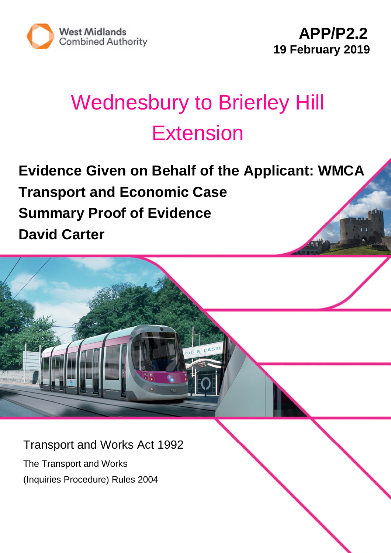

## Wednesbury to Brierley Hill **Extension**

**Evidence Given on Behalf of the Applicant: WMCA Transport and Economic Case Summary Proof of Evidence David Carter**

Transport and Works Act 1992

The Transport and Works (Inquiries Procedure) Rules 2004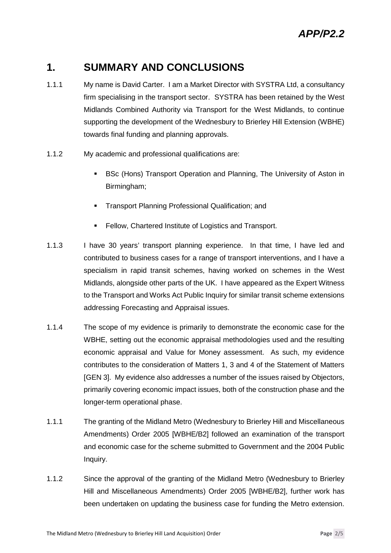## **1. SUMMARY AND CONCLUSIONS**

- 1.1.1 My name is David Carter. I am a Market Director with SYSTRA Ltd, a consultancy firm specialising in the transport sector. SYSTRA has been retained by the West Midlands Combined Authority via Transport for the West Midlands, to continue supporting the development of the Wednesbury to Brierley Hill Extension (WBHE) towards final funding and planning approvals.
- 1.1.2 My academic and professional qualifications are:
	- **BSC (Hons) Transport Operation and Planning, The University of Aston in** Birmingham;
	- **Transport Planning Professional Qualification: and**
	- Fellow, Chartered Institute of Logistics and Transport.
- 1.1.3 I have 30 years' transport planning experience. In that time, I have led and contributed to business cases for a range of transport interventions, and I have a specialism in rapid transit schemes, having worked on schemes in the West Midlands, alongside other parts of the UK. I have appeared as the Expert Witness to the Transport and Works Act Public Inquiry for similar transit scheme extensions addressing Forecasting and Appraisal issues.
- 1.1.4 The scope of my evidence is primarily to demonstrate the economic case for the WBHE, setting out the economic appraisal methodologies used and the resulting economic appraisal and Value for Money assessment. As such, my evidence contributes to the consideration of Matters 1, 3 and 4 of the Statement of Matters [GEN 3]. My evidence also addresses a number of the issues raised by Objectors, primarily covering economic impact issues, both of the construction phase and the longer-term operational phase.
- 1.1.1 The granting of the Midland Metro (Wednesbury to Brierley Hill and Miscellaneous Amendments) Order 2005 [WBHE/B2] followed an examination of the transport and economic case for the scheme submitted to Government and the 2004 Public Inquiry.
- 1.1.2 Since the approval of the granting of the Midland Metro (Wednesbury to Brierley Hill and Miscellaneous Amendments) Order 2005 [WBHE/B2], further work has been undertaken on updating the business case for funding the Metro extension.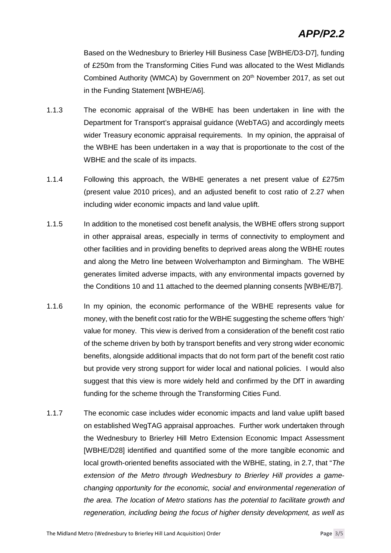Based on the Wednesbury to Brierley Hill Business Case [WBHE/D3-D7], funding of £250m from the Transforming Cities Fund was allocated to the West Midlands Combined Authority (WMCA) by Government on 20<sup>th</sup> November 2017, as set out in the Funding Statement [WBHE/A6].

- 1.1.3 The economic appraisal of the WBHE has been undertaken in line with the Department for Transport's appraisal guidance (WebTAG) and accordingly meets wider Treasury economic appraisal requirements. In my opinion, the appraisal of the WBHE has been undertaken in a way that is proportionate to the cost of the WBHE and the scale of its impacts.
- 1.1.4 Following this approach, the WBHE generates a net present value of £275m (present value 2010 prices), and an adjusted benefit to cost ratio of 2.27 when including wider economic impacts and land value uplift.
- 1.1.5 In addition to the monetised cost benefit analysis, the WBHE offers strong support in other appraisal areas, especially in terms of connectivity to employment and other facilities and in providing benefits to deprived areas along the WBHE routes and along the Metro line between Wolverhampton and Birmingham. The WBHE generates limited adverse impacts, with any environmental impacts governed by the Conditions 10 and 11 attached to the deemed planning consents [WBHE/B7].
- 1.1.6 In my opinion, the economic performance of the WBHE represents value for money, with the benefit cost ratio for the WBHE suggesting the scheme offers 'high' value for money. This view is derived from a consideration of the benefit cost ratio of the scheme driven by both by transport benefits and very strong wider economic benefits, alongside additional impacts that do not form part of the benefit cost ratio but provide very strong support for wider local and national policies. I would also suggest that this view is more widely held and confirmed by the DfT in awarding funding for the scheme through the Transforming Cities Fund.
- 1.1.7 The economic case includes wider economic impacts and land value uplift based on established WegTAG appraisal approaches. Further work undertaken through the Wednesbury to Brierley Hill Metro Extension Economic Impact Assessment [WBHE/D28] identified and quantified some of the more tangible economic and local growth-oriented benefits associated with the WBHE, stating, in 2.7, that "*The extension of the Metro through Wednesbury to Brierley Hill provides a gamechanging opportunity for the economic, social and environmental regeneration of the area. The location of Metro stations has the potential to facilitate growth and regeneration, including being the focus of higher density development, as well as*